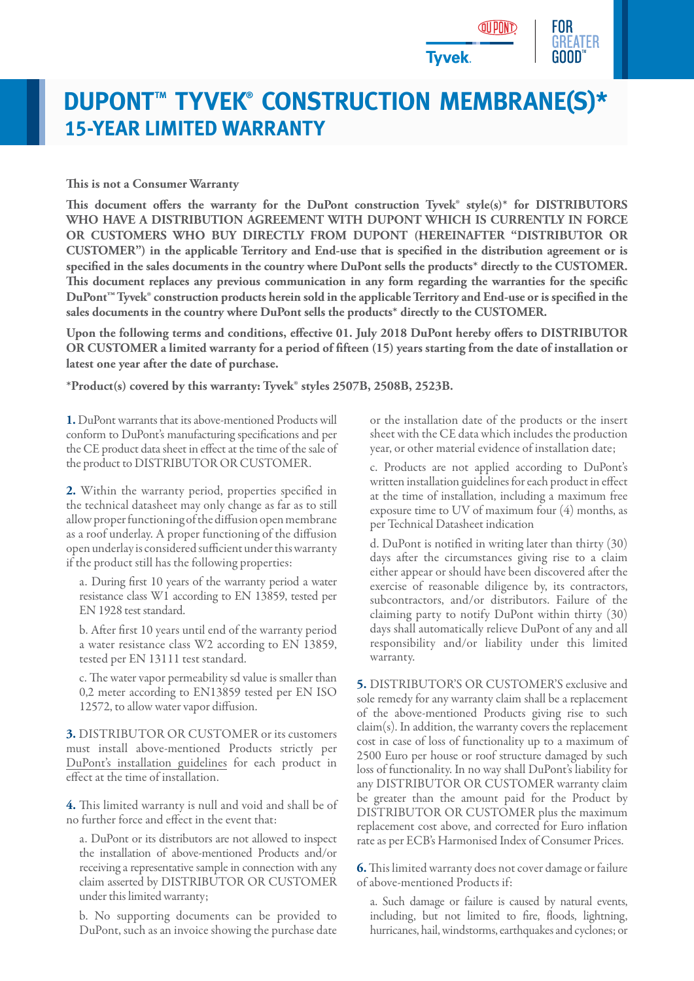

## **DUPONT™ TYVEK® CONSTRUCTION MEMBRANE(S)\* 15-YEAR LIMITED WARRANTY**

## **This is not a Consumer Warranty**

**This document offers the warranty for the DuPont construction Tyvek® style(s)\* for DISTRIBUTORS WHO HAVE A DISTRIBUTION AGREEMENT WITH DUPONT WHICH IS CURRENTLY IN FORCE OR CUSTOMERS WHO BUY DIRECTLY FROM DUPONT (HEREINAFTER "DISTRIBUTOR OR CUSTOMER") in the applicable Territory and End-use that is specified in the distribution agreement or is specified in the sales documents in the country where DuPont sells the products\* directly to the CUSTOMER. This document replaces any previous communication in any form regarding the warranties for the specific DuPont™ Tyvek® construction products herein sold in the applicable Territory and End-use or is specified in the sales documents in the country where DuPont sells the products\* directly to the CUSTOMER.**

**Upon the following terms and conditions, effective 01. July 2018 DuPont hereby offers to DISTRIBUTOR OR CUSTOMER a limited warranty for a period of fifteen (15) years starting from the date of installation or latest one year after the date of purchase.**

**\*Product(s) covered by this warranty: Tyvek® styles 2507B, 2508B, 2523B.**

**1.** DuPont warrants that its above-mentioned Products will conform to DuPont's manufacturing specifications and per the CE product data sheet in effect at the time of the sale of the product to DISTRIBUTOR OR CUSTOMER.

**2.** Within the warranty period, properties specified in the technical datasheet may only change as far as to still allow proper functioning of the diffusion open membrane as a roof underlay. A proper functioning of the diffusion open underlay is considered sufficient under this warranty if the product still has the following properties:

a. During first 10 years of the warranty period a water resistance class W1 according to EN 13859, tested per EN 1928 test standard.

b. After first 10 years until end of the warranty period a water resistance class W2 according to EN 13859, tested per EN 13111 test standard.

c. The water vapor permeability sd value is smaller than 0,2 meter according to EN13859 tested per EN ISO 12572, to allow water vapor diffusion.

**3.** DISTRIBUTOR OR CUSTOMER or its customers must install above-mentioned Products strictly per [DuPont's installation guidelines](http://www.dupont.co.uk/content/dam/dupont/products-and-services/construction-materials/building-envelope-systems/documents/Tyvek_Installation_Guideline_Roof_EMEA.pdf) for each product in effect at the time of installation.

**4.** This limited warranty is null and void and shall be of no further force and effect in the event that:

a. DuPont or its distributors are not allowed to inspect the installation of above-mentioned Products and/or receiving a representative sample in connection with any claim asserted by DISTRIBUTOR OR CUSTOMER under this limited warranty;

b. No supporting documents can be provided to DuPont, such as an invoice showing the purchase date or the installation date of the products or the insert sheet with the CE data which includes the production year, or other material evidence of installation date;

c. Products are not applied according to DuPont's written installation guidelines for each product in effect at the time of installation, including a maximum free exposure time to UV of maximum four (4) months, as per Technical Datasheet indication

d. DuPont is notified in writing later than thirty (30) days after the circumstances giving rise to a claim either appear or should have been discovered after the exercise of reasonable diligence by, its contractors, subcontractors, and/or distributors. Failure of the claiming party to notify DuPont within thirty (30) days shall automatically relieve DuPont of any and all responsibility and/or liability under this limited warranty.

**5.** DISTRIBUTOR'S OR CUSTOMER'S exclusive and sole remedy for any warranty claim shall be a replacement of the above-mentioned Products giving rise to such claim(s). In addition, the warranty covers the replacement cost in case of loss of functionality up to a maximum of 2500 Euro per house or roof structure damaged by such loss of functionality. In no way shall DuPont's liability for any DISTRIBUTOR OR CUSTOMER warranty claim be greater than the amount paid for the Product by DISTRIBUTOR OR CUSTOMER plus the maximum replacement cost above, and corrected for Euro inflation rate as per ECB's Harmonised Index of Consumer Prices.

**6.**This limited warranty does not cover damage or failure of above-mentioned Products if:

a. Such damage or failure is caused by natural events, including, but not limited to fire, floods, lightning, hurricanes, hail, windstorms, earthquakes and cyclones; or